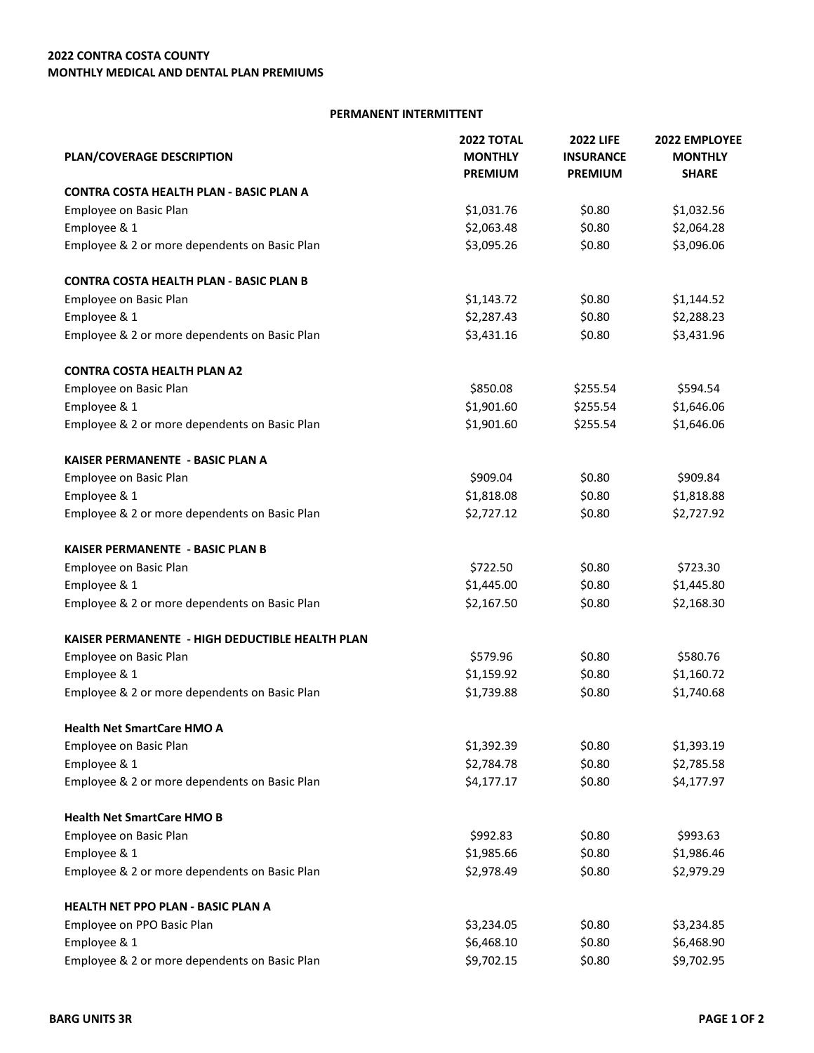## **PERMANENT INTERMITTENT**

| PLAN/COVERAGE DESCRIPTION                       | <b>2022 TOTAL</b><br><b>MONTHLY</b> | <b>2022 LIFE</b><br><b>INSURANCE</b> | 2022 EMPLOYEE<br><b>MONTHLY</b> |
|-------------------------------------------------|-------------------------------------|--------------------------------------|---------------------------------|
|                                                 | <b>PREMIUM</b>                      | <b>PREMIUM</b>                       | <b>SHARE</b>                    |
| CONTRA COSTA HEALTH PLAN - BASIC PLAN A         |                                     |                                      |                                 |
| Employee on Basic Plan                          | \$1,031.76                          | \$0.80                               | \$1,032.56                      |
| Employee & 1                                    | \$2,063.48                          | \$0.80                               | \$2,064.28                      |
| Employee & 2 or more dependents on Basic Plan   | \$3,095.26                          | \$0.80                               | \$3,096.06                      |
| <b>CONTRA COSTA HEALTH PLAN - BASIC PLAN B</b>  |                                     |                                      |                                 |
| Employee on Basic Plan                          | \$1,143.72                          | \$0.80                               | \$1,144.52                      |
| Employee & 1                                    | \$2,287.43                          | \$0.80                               | \$2,288.23                      |
| Employee & 2 or more dependents on Basic Plan   | \$3,431.16                          | \$0.80                               | \$3,431.96                      |
| <b>CONTRA COSTA HEALTH PLAN A2</b>              |                                     |                                      |                                 |
| Employee on Basic Plan                          | \$850.08                            | \$255.54                             | \$594.54                        |
| Employee & 1                                    | \$1,901.60                          | \$255.54                             | \$1,646.06                      |
| Employee & 2 or more dependents on Basic Plan   | \$1,901.60                          | \$255.54                             | \$1,646.06                      |
| KAISER PERMANENTE - BASIC PLAN A                |                                     |                                      |                                 |
| Employee on Basic Plan                          | \$909.04                            | \$0.80                               | \$909.84                        |
| Employee & 1                                    | \$1,818.08                          | \$0.80                               | \$1,818.88                      |
| Employee & 2 or more dependents on Basic Plan   | \$2,727.12                          | \$0.80                               | \$2,727.92                      |
| <b>KAISER PERMANENTE - BASIC PLAN B</b>         |                                     |                                      |                                 |
| Employee on Basic Plan                          | \$722.50                            | \$0.80                               | \$723.30                        |
| Employee & 1                                    | \$1,445.00                          | \$0.80                               | \$1,445.80                      |
| Employee & 2 or more dependents on Basic Plan   | \$2,167.50                          | \$0.80                               | \$2,168.30                      |
| KAISER PERMANENTE - HIGH DEDUCTIBLE HEALTH PLAN |                                     |                                      |                                 |
| Employee on Basic Plan                          | \$579.96                            | \$0.80                               | \$580.76                        |
| Employee & 1                                    | \$1,159.92                          | \$0.80                               | \$1,160.72                      |
| Employee & 2 or more dependents on Basic Plan   | \$1,739.88                          | \$0.80                               | \$1,740.68                      |
| <b>Health Net SmartCare HMO A</b>               |                                     |                                      |                                 |
| Employee on Basic Plan                          | \$1,392.39                          | \$0.80                               | \$1,393.19                      |
| Employee & 1                                    | \$2,784.78                          | \$0.80                               | \$2,785.58                      |
| Employee & 2 or more dependents on Basic Plan   | \$4,177.17                          | \$0.80                               | \$4,177.97                      |
| <b>Health Net SmartCare HMO B</b>               |                                     |                                      |                                 |
| Employee on Basic Plan                          | \$992.83                            | \$0.80                               | \$993.63                        |
| Employee & 1                                    | \$1,985.66                          | \$0.80                               | \$1,986.46                      |
| Employee & 2 or more dependents on Basic Plan   | \$2,978.49                          | \$0.80                               | \$2,979.29                      |
| HEALTH NET PPO PLAN - BASIC PLAN A              |                                     |                                      |                                 |
| Employee on PPO Basic Plan                      | \$3,234.05                          | \$0.80                               | \$3,234.85                      |
| Employee & 1                                    | \$6,468.10                          | \$0.80                               | \$6,468.90                      |
| Employee & 2 or more dependents on Basic Plan   | \$9,702.15                          | \$0.80                               | \$9,702.95                      |